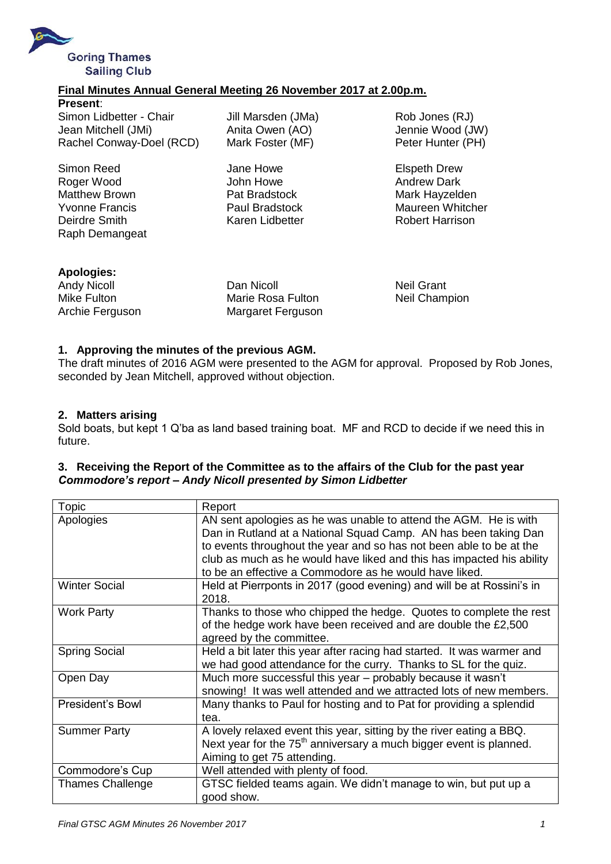

## **Final Minutes Annual General Meeting 26 November 2017 at 2.00p.m.**

**Present**: Simon Lidbetter - Chair Jill Marsden (JMa) Rob Jones (RJ) Jean Mitchell (JMi) Anita Owen (AO) Jennie Wood (JW) Rachel Conway-Doel (RCD) Mark Foster (MF) Peter Hunter (PH)

Simon Reed **Jane Howe Jane Howe** Elspeth Drew Roger Wood **Communist School** John Howe **Andrew Dark** Andrew Dark Matthew Brown **Pat Bradstock** Mark Hayzelden Yvonne Francis **National Paul Bradstock** Maureen Whitcher Deirdre Smith Karen Lidbetter Robert Harrison Raph Demangeat

| Apologies:         |
|--------------------|
| <b>Andy Nicoll</b> |
| Mike Fulton        |
| Archie Ferguson    |

**Dan Nicoll** Neil Grant Marie Rosa Fulton Neil Champion Archie Ferguson Margaret Ferguson

### **1. Approving the minutes of the previous AGM.**

The draft minutes of 2016 AGM were presented to the AGM for approval. Proposed by Rob Jones, seconded by Jean Mitchell, approved without objection.

### **2. Matters arising**

Sold boats, but kept 1 Q'ba as land based training boat. MF and RCD to decide if we need this in future.

### **3. Receiving the Report of the Committee as to the affairs of the Club for the past year** *Commodore's report – Andy Nicoll presented by Simon Lidbetter*

| Topic                   | Report                                                                         |
|-------------------------|--------------------------------------------------------------------------------|
| Apologies               | AN sent apologies as he was unable to attend the AGM. He is with               |
|                         | Dan in Rutland at a National Squad Camp. AN has been taking Dan                |
|                         | to events throughout the year and so has not been able to be at the            |
|                         | club as much as he would have liked and this has impacted his ability          |
|                         | to be an effective a Commodore as he would have liked.                         |
| <b>Winter Social</b>    | Held at Pierrponts in 2017 (good evening) and will be at Rossini's in          |
|                         | 2018.                                                                          |
| <b>Work Party</b>       | Thanks to those who chipped the hedge. Quotes to complete the rest             |
|                         | of the hedge work have been received and are double the £2,500                 |
|                         | agreed by the committee.                                                       |
| <b>Spring Social</b>    | Held a bit later this year after racing had started. It was warmer and         |
|                         | we had good attendance for the curry. Thanks to SL for the quiz.               |
| Open Day                | Much more successful this year - probably because it wasn't                    |
|                         | snowing! It was well attended and we attracted lots of new members.            |
| President's Bowl        | Many thanks to Paul for hosting and to Pat for providing a splendid            |
|                         | tea.                                                                           |
| <b>Summer Party</b>     | A lovely relaxed event this year, sitting by the river eating a BBQ.           |
|                         | Next year for the 75 <sup>th</sup> anniversary a much bigger event is planned. |
|                         | Aiming to get 75 attending.                                                    |
| Commodore's Cup         | Well attended with plenty of food.                                             |
| <b>Thames Challenge</b> | GTSC fielded teams again. We didn't manage to win, but put up a                |
|                         | good show.                                                                     |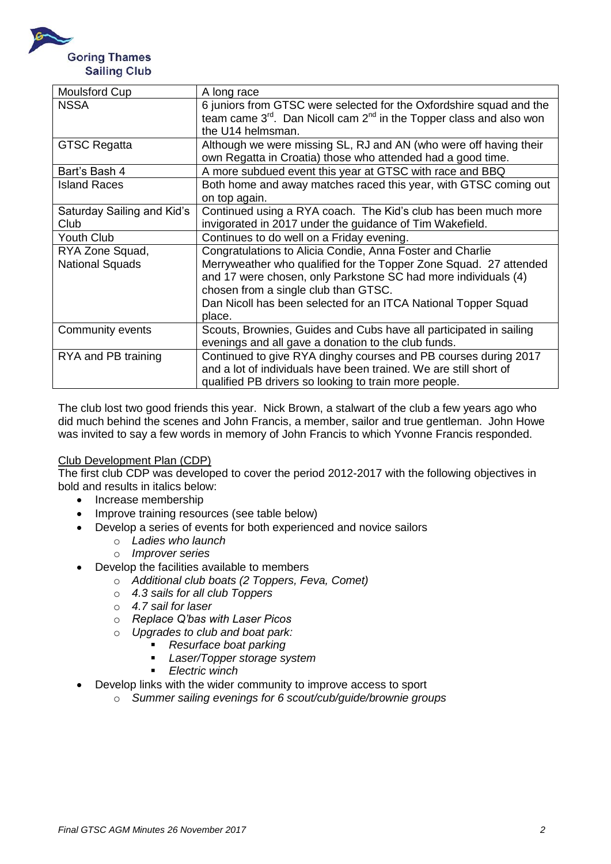

| <b>Moulsford Cup</b>       | A long race                                                                   |
|----------------------------|-------------------------------------------------------------------------------|
| <b>NSSA</b>                | 6 juniors from GTSC were selected for the Oxfordshire squad and the           |
|                            | team came $3^{rd}$ . Dan Nicoll cam $2^{nd}$ in the Topper class and also won |
|                            | the U14 helmsman.                                                             |
| <b>GTSC Regatta</b>        | Although we were missing SL, RJ and AN (who were off having their             |
|                            | own Regatta in Croatia) those who attended had a good time.                   |
| Bart's Bash 4              | A more subdued event this year at GTSC with race and BBQ                      |
| <b>Island Races</b>        | Both home and away matches raced this year, with GTSC coming out              |
|                            | on top again.                                                                 |
| Saturday Sailing and Kid's | Continued using a RYA coach. The Kid's club has been much more                |
| Club                       | invigorated in 2017 under the guidance of Tim Wakefield.                      |
| Youth Club                 | Continues to do well on a Friday evening.                                     |
| RYA Zone Squad,            | Congratulations to Alicia Condie, Anna Foster and Charlie                     |
| <b>National Squads</b>     | Merryweather who qualified for the Topper Zone Squad. 27 attended             |
|                            | and 17 were chosen, only Parkstone SC had more individuals (4)                |
|                            | chosen from a single club than GTSC.                                          |
|                            | Dan Nicoll has been selected for an ITCA National Topper Squad                |
|                            | place.                                                                        |
| Community events           | Scouts, Brownies, Guides and Cubs have all participated in sailing            |
|                            | evenings and all gave a donation to the club funds.                           |
| RYA and PB training        | Continued to give RYA dinghy courses and PB courses during 2017               |
|                            | and a lot of individuals have been trained. We are still short of             |
|                            | qualified PB drivers so looking to train more people.                         |

The club lost two good friends this year. Nick Brown, a stalwart of the club a few years ago who did much behind the scenes and John Francis, a member, sailor and true gentleman. John Howe was invited to say a few words in memory of John Francis to which Yvonne Francis responded.

# Club Development Plan (CDP)

The first club CDP was developed to cover the period 2012-2017 with the following objectives in bold and results in italics below:

- Increase membership
- Improve training resources (see table below)
- Develop a series of events for both experienced and novice sailors
	- o *Ladies who launch*
	- o *Improver series*
- Develop the facilities available to members
	- o *Additional club boats (2 Toppers, Feva, Comet)*
	- o *4.3 sails for all club Toppers*
	- o *4.7 sail for laser*
	- o *Replace Q'bas with Laser Picos*
	- o *Upgrades to club and boat park:* 
		- *Resurface boat parking*
			- *Laser/Topper storage system*
			- *Electric winch*
- Develop links with the wider community to improve access to sport
	- o *Summer sailing evenings for 6 scout/cub/guide/brownie groups*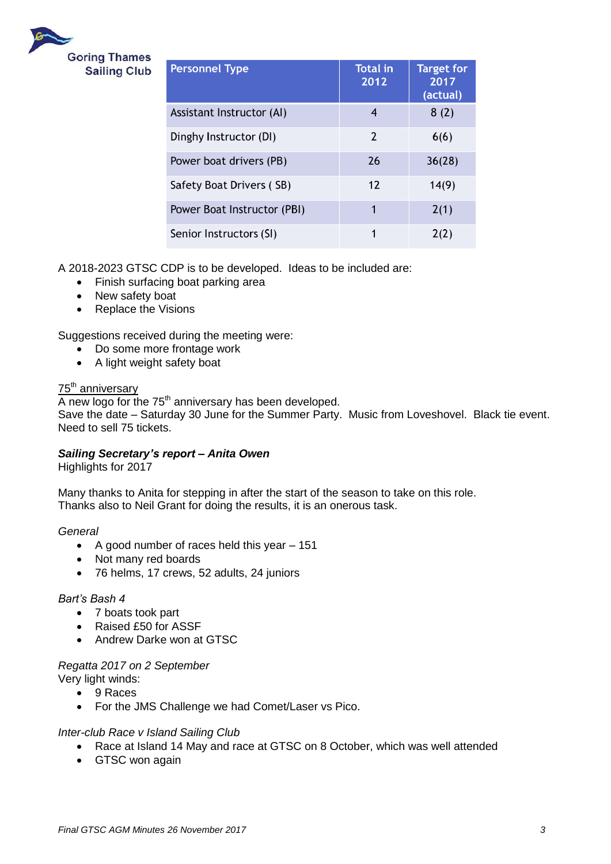

| <b>Personnel Type</b>       | <b>Total in</b><br>2012 | <b>Target for</b><br>2017<br>(actual) |
|-----------------------------|-------------------------|---------------------------------------|
| Assistant Instructor (AI)   | 4                       | 8(2)                                  |
| Dinghy Instructor (DI)      | $\overline{2}$          | 6(6)                                  |
| Power boat drivers (PB)     | 26                      | 36(28)                                |
| Safety Boat Drivers (SB)    | 12                      | 14(9)                                 |
| Power Boat Instructor (PBI) | 1                       | 2(1)                                  |
| Senior Instructors (SI)     | 1                       | 2(2)                                  |

A 2018-2023 GTSC CDP is to be developed. Ideas to be included are:

- Finish surfacing boat parking area
- New safety boat
- Replace the Visions

Suggestions received during the meeting were:

- Do some more frontage work
- A light weight safety boat

### 75<sup>th</sup> anniversary

 $\overline{A}$  new logo for the 75<sup>th</sup> anniversary has been developed. Save the date – Saturday 30 June for the Summer Party. Music from Loveshovel. Black tie event. Need to sell 75 tickets.

#### *Sailing Secretary's report – Anita Owen*

Highlights for 2017

Many thanks to Anita for stepping in after the start of the season to take on this role. Thanks also to Neil Grant for doing the results, it is an onerous task.

*General*

- A good number of races held this year 151
- Not many red boards
- 76 helms, 17 crews, 52 adults, 24 juniors

#### *Bart's Bash 4*

- 7 boats took part
- Raised £50 for ASSF
- Andrew Darke won at GTSC

#### *Regatta 2017 on 2 September*

Very light winds:

- 9 Races
- For the JMS Challenge we had Comet/Laser vs Pico.

#### *Inter-club Race v Island Sailing Club*

- Race at Island 14 May and race at GTSC on 8 October, which was well attended
- GTSC won again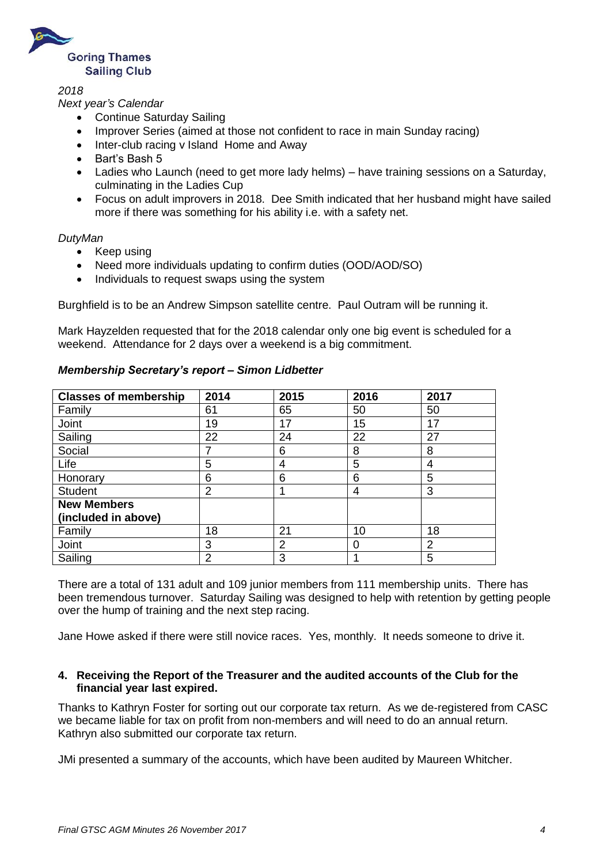

*2018*

### *Next year's Calendar*

- Continue Saturday Sailing
- Improver Series (aimed at those not confident to race in main Sunday racing)
- Inter-club racing v Island Home and Away
- Bart's Bash 5
- Ladies who Launch (need to get more lady helms) have training sessions on a Saturday, culminating in the Ladies Cup
- Focus on adult improvers in 2018. Dee Smith indicated that her husband might have sailed more if there was something for his ability i.e. with a safety net.

#### *DutyMan*

- Keep using
- Need more individuals updating to confirm duties (OOD/AOD/SO)
- Individuals to request swaps using the system

Burghfield is to be an Andrew Simpson satellite centre. Paul Outram will be running it.

Mark Hayzelden requested that for the 2018 calendar only one big event is scheduled for a weekend. Attendance for 2 days over a weekend is a big commitment.

| <b>Classes of membership</b> | 2014           | 2015 | 2016 | 2017 |
|------------------------------|----------------|------|------|------|
| Family                       | 61             | 65   | 50   | 50   |
| Joint                        | 19             | 17   | 15   | 17   |
| Sailing                      | 22             | 24   | 22   | 27   |
| Social                       |                | 6    | 8    | 8    |
| Life                         | 5              | 4    | 5    | 4    |
| Honorary                     | 6              | 6    | 6    | 5    |
| <b>Student</b>               | $\overline{2}$ |      | 4    | 3    |
| <b>New Members</b>           |                |      |      |      |
| (included in above)          |                |      |      |      |
| Family                       | 18             | 21   | 10   | 18   |
| Joint                        | 3              | 2    |      | 2    |
| Sailing                      | 2              | 3    |      | 5    |

### *Membership Secretary's report – Simon Lidbetter*

There are a total of 131 adult and 109 junior members from 111 membership units. There has been tremendous turnover. Saturday Sailing was designed to help with retention by getting people over the hump of training and the next step racing.

Jane Howe asked if there were still novice races. Yes, monthly. It needs someone to drive it.

### **4. Receiving the Report of the Treasurer and the audited accounts of the Club for the financial year last expired.**

Thanks to Kathryn Foster for sorting out our corporate tax return. As we de-registered from CASC we became liable for tax on profit from non-members and will need to do an annual return. Kathryn also submitted our corporate tax return.

JMi presented a summary of the accounts, which have been audited by Maureen Whitcher.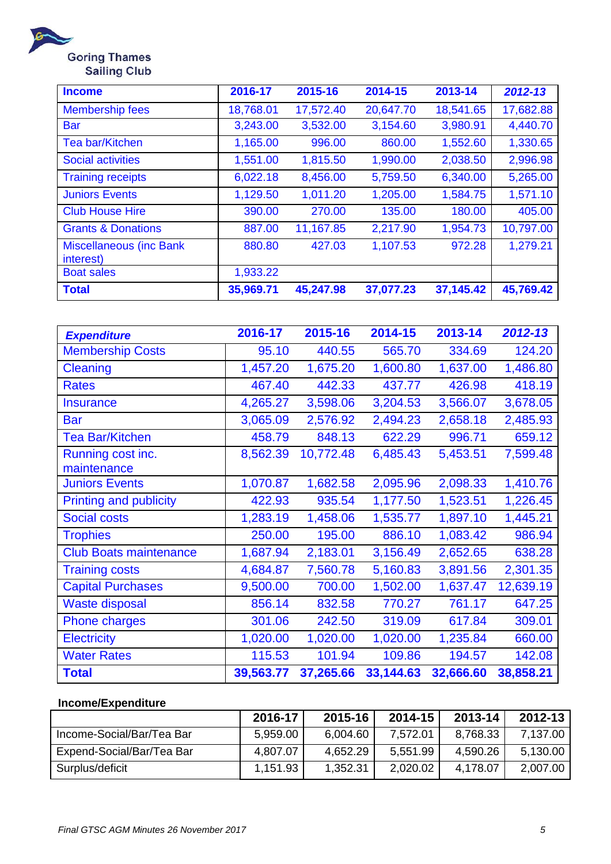

**Income 2016-17 2015-16 2014-15 2013-14** *2012-13* Membership fees 18,768.01 17,572.40 20,647.70 18,541.65 17,682.88 Bar 3,243.00 3,532.00 3,154.60 3,980.91 4,440.70 Tea bar/Kitchen 1,165.00 996.00 860.00 1,552.60 1,330.65 Social activities 1,551.00 1,815.50 1,990.00 2,038.50 2,996.98 Training receipts 1 6,022.18 8,456.00 5,759.50 6,340.00 5,265.00 Juniors Events 1,129.50 1,011.20 1,205.00 1,584.75 1,571.10 Club House Hire 390.00 270.00 135.00 180.00 405.00 Grants & Donations (887.00 11,167.85 2,217.90 1,954.73 10,797.00 Miscellaneous (inc Bank interest) 880.80 427.03 1,107.53 972.28 1,279.21 Boat sales 1,933.22 **Total 35,969.71 45,247.98 37,077.23 37,145.42 45,769.42**

| <b>Expenditure</b>               | 2016-17   | 2015-16   | 2014-15   | 2013-14   | 2012-13   |
|----------------------------------|-----------|-----------|-----------|-----------|-----------|
| <b>Membership Costs</b>          | 95.10     | 440.55    | 565.70    | 334.69    | 124.20    |
| <b>Cleaning</b>                  | 1,457.20  | 1,675.20  | 1,600.80  | 1,637.00  | 1,486.80  |
| <b>Rates</b>                     | 467.40    | 442.33    | 437.77    | 426.98    | 418.19    |
| <b>Insurance</b>                 | 4,265.27  | 3,598.06  | 3,204.53  | 3,566.07  | 3,678.05  |
| <b>Bar</b>                       | 3,065.09  | 2,576.92  | 2,494.23  | 2,658.18  | 2,485.93  |
| <b>Tea Bar/Kitchen</b>           | 458.79    | 848.13    | 622.29    | 996.71    | 659.12    |
| Running cost inc.<br>maintenance | 8,562.39  | 10,772.48 | 6,485.43  | 5,453.51  | 7,599.48  |
| <b>Juniors Events</b>            | 1,070.87  | 1,682.58  | 2,095.96  | 2,098.33  | 1,410.76  |
| <b>Printing and publicity</b>    | 422.93    | 935.54    | 1,177.50  | 1,523.51  | 1,226.45  |
| <b>Social costs</b>              | 1,283.19  | 1,458.06  | 1,535.77  | 1,897.10  | 1,445.21  |
| <b>Trophies</b>                  | 250.00    | 195.00    | 886.10    | 1,083.42  | 986.94    |
| <b>Club Boats maintenance</b>    | 1,687.94  | 2,183.01  | 3,156.49  | 2,652.65  | 638.28    |
| <b>Training costs</b>            | 4,684.87  | 7,560.78  | 5,160.83  | 3,891.56  | 2,301.35  |
| <b>Capital Purchases</b>         | 9,500.00  | 700.00    | 1,502.00  | 1,637.47  | 12,639.19 |
| <b>Waste disposal</b>            | 856.14    | 832.58    | 770.27    | 761.17    | 647.25    |
| <b>Phone charges</b>             | 301.06    | 242.50    | 319.09    | 617.84    | 309.01    |
| <b>Electricity</b>               | 1,020.00  | 1,020.00  | 1,020.00  | 1,235.84  | 660.00    |
| <b>Water Rates</b>               | 115.53    | 101.94    | 109.86    | 194.57    | 142.08    |
| <b>Total</b>                     | 39,563.77 | 37,265.66 | 33,144.63 | 32,666.60 | 38,858.21 |

## **Income/Expenditure**

|                           | 2016-17  | 2015-16  | 2014-15  | 2013-14  | 2012-13  |
|---------------------------|----------|----------|----------|----------|----------|
| Income-Social/Bar/Tea Bar | 5,959.00 | 6,004.60 | 7,572.01 | 8,768.33 | 7,137.00 |
| Expend-Social/Bar/Tea Bar | 4,807.07 | 4,652.29 | 5,551.99 | 4,590.26 | 5,130.00 |
| Surplus/deficit           | 1,151.93 | 1,352.31 | 2,020.02 | 4.178.07 | 2,007.00 |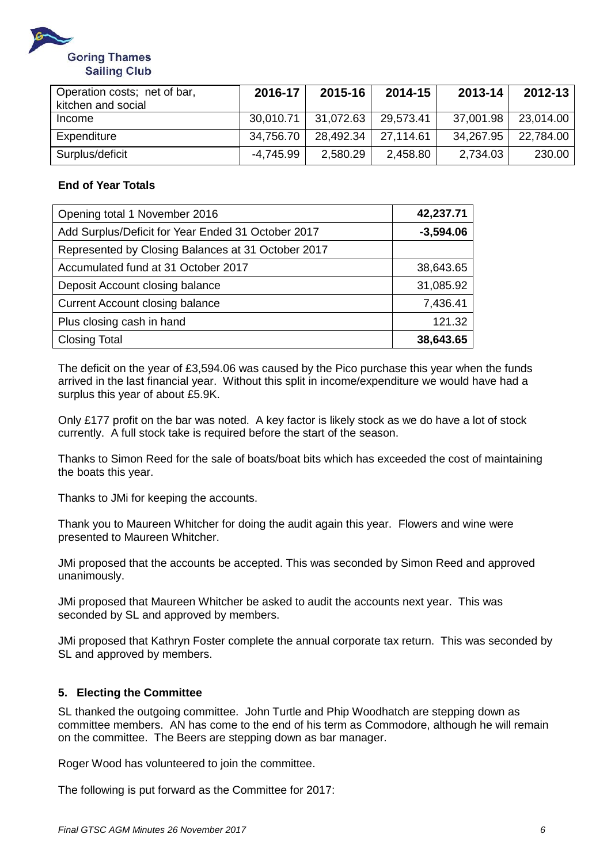

| Operation costs; net of bar,<br>kitchen and social | 2016-17   | 2015-16   | 2014-15   | 2013-14   | $2012 - 13$ |
|----------------------------------------------------|-----------|-----------|-----------|-----------|-------------|
| Income                                             | 30,010.71 | 31,072.63 | 29.573.41 | 37,001.98 | 23,014.00   |
| Expenditure                                        | 34,756.70 | 28,492.34 | 27.114.61 | 34,267.95 | 22,784.00   |
| Surplus/deficit                                    | -4,745.99 | 2,580.29  | 2,458.80  | 2,734.03  | 230.00      |

## **End of Year Totals**

| Opening total 1 November 2016                      | 42,237.71   |
|----------------------------------------------------|-------------|
| Add Surplus/Deficit for Year Ended 31 October 2017 | $-3,594.06$ |
| Represented by Closing Balances at 31 October 2017 |             |
| Accumulated fund at 31 October 2017                | 38,643.65   |
| Deposit Account closing balance                    | 31,085.92   |
| <b>Current Account closing balance</b>             | 7,436.41    |
| Plus closing cash in hand                          | 121.32      |
| <b>Closing Total</b>                               | 38,643.65   |

The deficit on the year of £3,594.06 was caused by the Pico purchase this year when the funds arrived in the last financial year. Without this split in income/expenditure we would have had a surplus this year of about £5.9K.

Only £177 profit on the bar was noted. A key factor is likely stock as we do have a lot of stock currently. A full stock take is required before the start of the season.

Thanks to Simon Reed for the sale of boats/boat bits which has exceeded the cost of maintaining the boats this year.

Thanks to JMi for keeping the accounts.

Thank you to Maureen Whitcher for doing the audit again this year. Flowers and wine were presented to Maureen Whitcher.

JMi proposed that the accounts be accepted. This was seconded by Simon Reed and approved unanimously.

JMi proposed that Maureen Whitcher be asked to audit the accounts next year. This was seconded by SL and approved by members.

JMi proposed that Kathryn Foster complete the annual corporate tax return. This was seconded by SL and approved by members.

## **5. Electing the Committee**

SL thanked the outgoing committee. John Turtle and Phip Woodhatch are stepping down as committee members. AN has come to the end of his term as Commodore, although he will remain on the committee. The Beers are stepping down as bar manager.

Roger Wood has volunteered to join the committee.

The following is put forward as the Committee for 2017: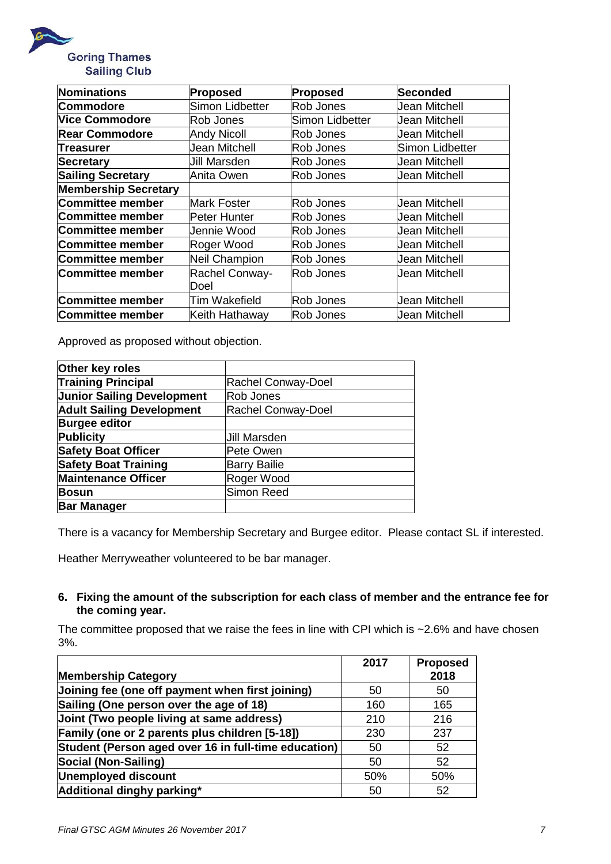

| Nominations                 | Proposed             | Proposed                          | Seconded               |
|-----------------------------|----------------------|-----------------------------------|------------------------|
| <b>Commodore</b>            | Simon Lidbetter      | Rob Jones                         | Jean Mitchell          |
| <b>Vice Commodore</b>       | Rob Jones            | Simon Lidbetter                   | <b>Jean Mitchell</b>   |
| <b>Rear Commodore</b>       | <b>Andy Nicoll</b>   | Rob Jones                         | <b>Jean Mitchell</b>   |
| <b>Treasurer</b>            | Jean Mitchell        | Rob Jones                         | <b>Simon Lidbetter</b> |
| Secretary                   | Jill Marsden         | Rob Jones                         | <b>Jean Mitchell</b>   |
| <b>Sailing Secretary</b>    | Anita Owen           | Rob Jones                         | <b>Jean Mitchell</b>   |
| <b>Membership Secretary</b> |                      |                                   |                        |
| Committee member            | lMark Foster         | Rob Jones                         | Jean Mitchell          |
| Committee member            | Peter Hunter         | Rob Jones                         | <b>Jean Mitchell</b>   |
| Committee member            | Jennie Wood          | Rob Jones<br><b>Jean Mitchell</b> |                        |
| Committee member            | Roger Wood           | Rob Jones                         | Jean Mitchell          |
| Committee member            | Neil Champion        | <b>Jean Mitchell</b><br>Rob Jones |                        |
| Committee member            | Rachel Conway-       | Rob Jones                         | <b>Jean Mitchell</b>   |
|                             | Doel                 |                                   |                        |
| Committee member            | <b>Tim Wakefield</b> | Rob Jones                         | <b>Jean Mitchell</b>   |
| Committee member            | Keith Hathaway       | Rob Jones                         | <b>Jean Mitchell</b>   |

Approved as proposed without objection.

| Other key roles                   |                     |
|-----------------------------------|---------------------|
| <b>Training Principal</b>         | Rachel Conway-Doel  |
| <b>Junior Sailing Development</b> | Rob Jones           |
| <b>Adult Sailing Development</b>  | Rachel Conway-Doel  |
| <b>Burgee editor</b>              |                     |
| <b>Publicity</b>                  | <b>Jill Marsden</b> |
| <b>Safety Boat Officer</b>        | Pete Owen           |
| <b>Safety Boat Training</b>       | <b>Barry Bailie</b> |
| <b>Maintenance Officer</b>        | Roger Wood          |
| <b>Bosun</b>                      | <b>Simon Reed</b>   |
| <b>Bar Manager</b>                |                     |

There is a vacancy for Membership Secretary and Burgee editor. Please contact SL if interested.

Heather Merryweather volunteered to be bar manager.

### **6. Fixing the amount of the subscription for each class of member and the entrance fee for the coming year.**

The committee proposed that we raise the fees in line with CPI which is  $\sim$  2.6% and have chosen 3%.

|                                                      | 2017 | <b>Proposed</b> |
|------------------------------------------------------|------|-----------------|
| <b>Membership Category</b>                           |      | 2018            |
| Joining fee (one off payment when first joining)     | 50   | 50              |
| Sailing (One person over the age of 18)              | 160  | 165             |
| Joint (Two people living at same address)            | 210  | 216             |
| Family (one or 2 parents plus children [5-18])       | 230  | 237             |
| Student (Person aged over 16 in full-time education) | 50   | 52              |
| Social (Non-Sailing)                                 | 50   | 52              |
| <b>Unemployed discount</b>                           | 50%  | 50%             |
| Additional dinghy parking*                           | 50   | 52              |